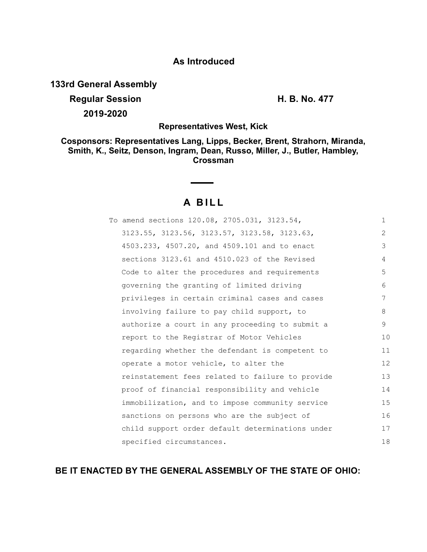# **As Introduced**

**133rd General Assembly**

**Regular Session H. B. No. 477 2019-2020**

**Representatives West, Kick**

**Cosponsors: Representatives Lang, Lipps, Becker, Brent, Strahorn, Miranda, Smith, K., Seitz, Denson, Ingram, Dean, Russo, Miller, J., Butler, Hambley, Crossman**

# **A B I L L**

| To amend sections 120.08, 2705.031, 3123.54,     | $\mathbf{1}$   |
|--------------------------------------------------|----------------|
| 3123.55, 3123.56, 3123.57, 3123.58, 3123.63,     | $\overline{2}$ |
| 4503.233, 4507.20, and 4509.101 and to enact     | 3              |
| sections 3123.61 and 4510.023 of the Revised     | 4              |
| Code to alter the procedures and requirements    | 5              |
| governing the granting of limited driving        | 6              |
| privileges in certain criminal cases and cases   | 7              |
| involving failure to pay child support, to       | 8              |
| authorize a court in any proceeding to submit a  | 9              |
| report to the Registrar of Motor Vehicles        | 10             |
| regarding whether the defendant is competent to  | 11             |
| operate a motor vehicle, to alter the            | 12             |
| reinstatement fees related to failure to provide | 13             |
| proof of financial responsibility and vehicle    | 14             |
| immobilization, and to impose community service  | 15             |
| sanctions on persons who are the subject of      | 16             |
| child support order default determinations under | 17             |
| specified circumstances.                         | 18             |

**BE IT ENACTED BY THE GENERAL ASSEMBLY OF THE STATE OF OHIO:**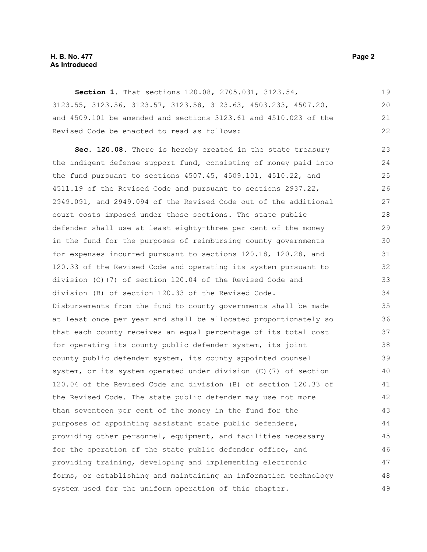### **H. B. No. 477 Page 2 As Introduced**

**Section 1.** That sections 120.08, 2705.031, 3123.54, 3123.55, 3123.56, 3123.57, 3123.58, 3123.63, 4503.233, 4507.20, and 4509.101 be amended and sections 3123.61 and 4510.023 of the Revised Code be enacted to read as follows: **Sec. 120.08.** There is hereby created in the state treasury the indigent defense support fund, consisting of money paid into the fund pursuant to sections  $4507.45$ ,  $4509.101$ ,  $4510.22$ , and 4511.19 of the Revised Code and pursuant to sections 2937.22, 2949.091, and 2949.094 of the Revised Code out of the additional court costs imposed under those sections. The state public defender shall use at least eighty-three per cent of the money in the fund for the purposes of reimbursing county governments for expenses incurred pursuant to sections 120.18, 120.28, and 120.33 of the Revised Code and operating its system pursuant to division (C)(7) of section 120.04 of the Revised Code and division (B) of section 120.33 of the Revised Code. Disbursements from the fund to county governments shall be made at least once per year and shall be allocated proportionately so that each county receives an equal percentage of its total cost for operating its county public defender system, its joint county public defender system, its county appointed counsel system, or its system operated under division (C)(7) of section 120.04 of the Revised Code and division (B) of section 120.33 of the Revised Code. The state public defender may use not more than seventeen per cent of the money in the fund for the purposes of appointing assistant state public defenders, providing other personnel, equipment, and facilities necessary for the operation of the state public defender office, and providing training, developing and implementing electronic forms, or establishing and maintaining an information technology system used for the uniform operation of this chapter. 19 20 21 22 23 24 25 26 27 28 29 30 31 32 33 34 35 36 37 38 39 40 41 42 43 44 45 46 47 48 49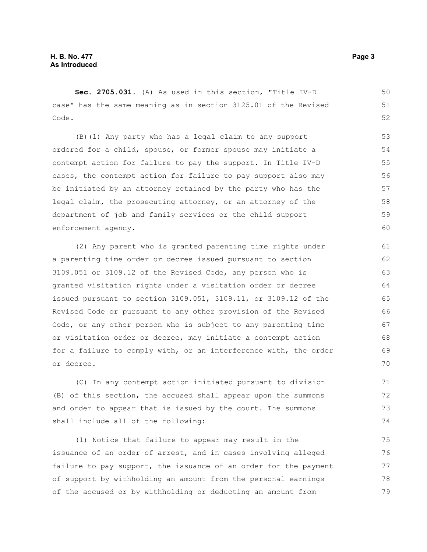**Sec. 2705.031.** (A) As used in this section, "Title IV-D case" has the same meaning as in section 3125.01 of the Revised Code.

(B)(1) Any party who has a legal claim to any support ordered for a child, spouse, or former spouse may initiate a contempt action for failure to pay the support. In Title IV-D cases, the contempt action for failure to pay support also may be initiated by an attorney retained by the party who has the legal claim, the prosecuting attorney, or an attorney of the department of job and family services or the child support enforcement agency.

(2) Any parent who is granted parenting time rights under a parenting time order or decree issued pursuant to section 3109.051 or 3109.12 of the Revised Code, any person who is granted visitation rights under a visitation order or decree issued pursuant to section 3109.051, 3109.11, or 3109.12 of the Revised Code or pursuant to any other provision of the Revised Code, or any other person who is subject to any parenting time or visitation order or decree, may initiate a contempt action for a failure to comply with, or an interference with, the order or decree.

(C) In any contempt action initiated pursuant to division (B) of this section, the accused shall appear upon the summons and order to appear that is issued by the court. The summons shall include all of the following:

(1) Notice that failure to appear may result in the issuance of an order of arrest, and in cases involving alleged failure to pay support, the issuance of an order for the payment of support by withholding an amount from the personal earnings of the accused or by withholding or deducting an amount from 75 76 77 78 79

50 51 52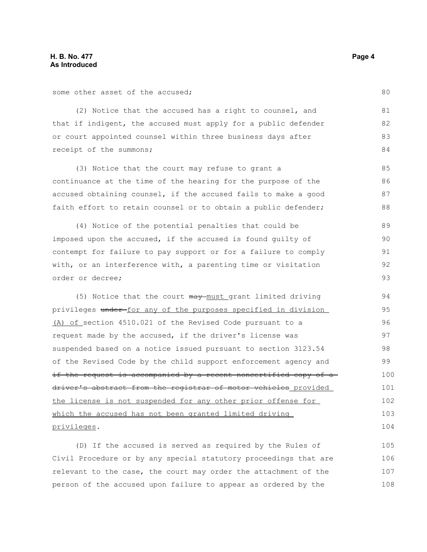some other asset of the accused;

(2) Notice that the accused has a right to counsel, and that if indigent, the accused must apply for a public defender or court appointed counsel within three business days after receipt of the summons;

(3) Notice that the court may refuse to grant a continuance at the time of the hearing for the purpose of the accused obtaining counsel, if the accused fails to make a good faith effort to retain counsel or to obtain a public defender; 85 86 87 88

(4) Notice of the potential penalties that could be imposed upon the accused, if the accused is found guilty of contempt for failure to pay support or for a failure to comply with, or an interference with, a parenting time or visitation order or decree;

(5) Notice that the court may must grant limited driving privileges under for any of the purposes specified in division (A) of section 4510.021 of the Revised Code pursuant to a request made by the accused, if the driver's license was suspended based on a notice issued pursuant to section 3123.54 of the Revised Code by the child support enforcement agency and if the request is accompanied by a recent noncertified copy of a driver's abstract from the registrar of motor vehicles provided the license is not suspended for any other prior offense for which the accused has not been granted limited driving privileges.

(D) If the accused is served as required by the Rules of Civil Procedure or by any special statutory proceedings that are relevant to the case, the court may order the attachment of the person of the accused upon failure to appear as ordered by the 105 106 107 108

80 81

82 83 84

101 102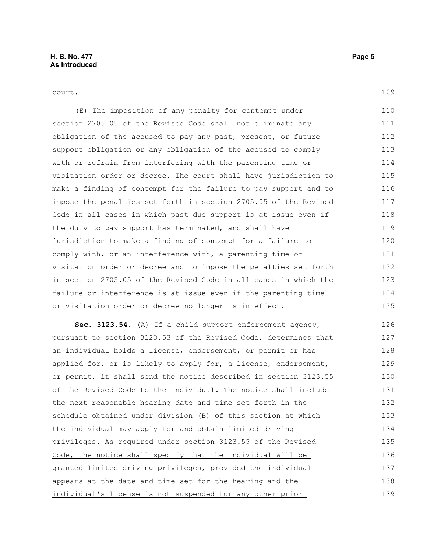court.

(E) The imposition of any penalty for contempt under section 2705.05 of the Revised Code shall not eliminate any obligation of the accused to pay any past, present, or future support obligation or any obligation of the accused to comply with or refrain from interfering with the parenting time or visitation order or decree. The court shall have jurisdiction to make a finding of contempt for the failure to pay support and to impose the penalties set forth in section 2705.05 of the Revised Code in all cases in which past due support is at issue even if the duty to pay support has terminated, and shall have jurisdiction to make a finding of contempt for a failure to comply with, or an interference with, a parenting time or visitation order or decree and to impose the penalties set forth in section 2705.05 of the Revised Code in all cases in which the failure or interference is at issue even if the parenting time or visitation order or decree no longer is in effect. 110 111 112 113 114 115 116 117 118 119 120 121 122 123 124 125

**Sec. 3123.54.** (A) If a child support enforcement agency, pursuant to section 3123.53 of the Revised Code, determines that an individual holds a license, endorsement, or permit or has applied for, or is likely to apply for, a license, endorsement, or permit, it shall send the notice described in section 3123.55 of the Revised Code to the individual. The notice shall include the next reasonable hearing date and time set forth in the schedule obtained under division (B) of this section at which the individual may apply for and obtain limited driving privileges. As required under section 3123.55 of the Revised Code, the notice shall specify that the individual will be granted limited driving privileges, provided the individual appears at the date and time set for the hearing and the individual's license is not suspended for any other prior 126 127 128 129 130 131 132 133 134 135 136 137 138 139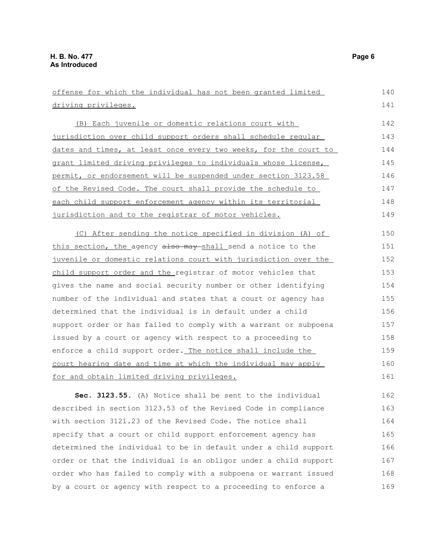| offense for which the individual has not been granted limited    | 140 |
|------------------------------------------------------------------|-----|
| driving privileges.                                              | 141 |
|                                                                  |     |
| (B) Each juvenile or domestic relations court with               | 142 |
| jurisdiction over child support orders shall schedule regular    | 143 |
| dates and times, at least once every two weeks, for the court to | 144 |
| grant limited driving privileges to individuals whose license,   | 145 |
| permit, or endorsement will be suspended under section 3123.58   | 146 |
| of the Revised Code. The court shall provide the schedule to     | 147 |
| each child support enforcement agency within its territorial     | 148 |
| jurisdiction and to the registrar of motor vehicles.             | 149 |
| (C) After sending the notice specified in division (A) of        | 150 |
| this section, the agency also may shall send a notice to the     | 151 |
| juvenile or domestic relations court with jurisdiction over the  | 152 |
| child support order and the registrar of motor vehicles that     | 153 |
| gives the name and social security number or other identifying   | 154 |
| number of the individual and states that a court or agency has   | 155 |
| determined that the individual is in default under a child       | 156 |
| support order or has failed to comply with a warrant or subpoena | 157 |
| issued by a court or agency with respect to a proceeding to      | 158 |
| enforce a child support order. The notice shall include the      | 159 |
| court hearing date and time at which the individual may apply    | 160 |
| for and obtain limited driving privileges.                       | 161 |
| Sec. 3123.55. (A) Notice shall be sent to the individual         | 162 |
| described in section 3123.53 of the Revised Code in compliance   | 163 |
| with section 3121.23 of the Revised Code. The notice shall       | 164 |
| specify that a court or child support enforcement agency has     | 165 |
|                                                                  |     |

determined the individual to be in default under a child support order or that the individual is an obligor under a child support order who has failed to comply with a subpoena or warrant issued by a court or agency with respect to a proceeding to enforce a 166 167 168 169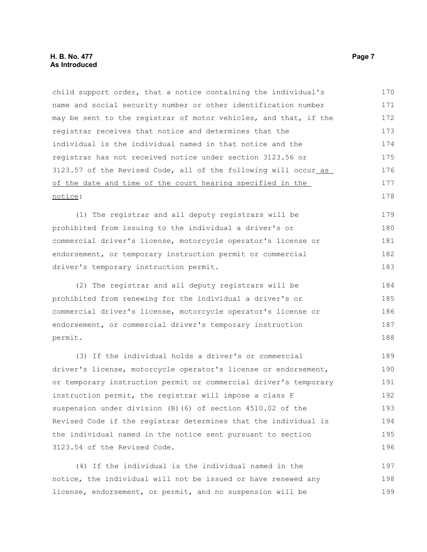child support order, that a notice containing the individual's name and social security number or other identification number may be sent to the registrar of motor vehicles, and that, if the registrar receives that notice and determines that the individual is the individual named in that notice and the registrar has not received notice under section 3123.56 or 3123.57 of the Revised Code, all of the following will occur as of the date and time of the court hearing specified in the notice: (1) The registrar and all deputy registrars will be prohibited from issuing to the individual a driver's or commercial driver's license, motorcycle operator's license or endorsement, or temporary instruction permit or commercial driver's temporary instruction permit. (2) The registrar and all deputy registrars will be prohibited from renewing for the individual a driver's or commercial driver's license, motorcycle operator's license or endorsement, or commercial driver's temporary instruction permit. (3) If the individual holds a driver's or commercial driver's license, motorcycle operator's license or endorsement, or temporary instruction permit or commercial driver's temporary instruction permit, the registrar will impose a class F suspension under division (B)(6) of section 4510.02 of the Revised Code if the registrar determines that the individual is the individual named in the notice sent pursuant to section 3123.54 of the Revised Code. 170 171 172 173 174 175 176 177 178 179 180 181 182 183 184 185 186 187 188 189 190 191 192 193 194 195 196

(4) If the individual is the individual named in the notice, the individual will not be issued or have renewed any license, endorsement, or permit, and no suspension will be 197 198 199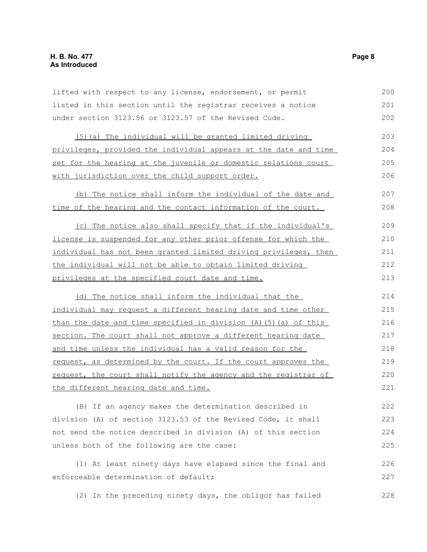| lifted with respect to any license, endorsement, or permit       | 200 |
|------------------------------------------------------------------|-----|
| listed in this section until the registrar receives a notice     | 201 |
| under section 3123.56 or 3123.57 of the Revised Code.            | 202 |
| (5) (a) The individual will be granted limited driving           | 203 |
| privileges, provided the individual appears at the date and time | 204 |
| set for the hearing at the juvenile or domestic relations court  | 205 |
| with jurisdiction over the child support order.                  | 206 |
| (b) The notice shall inform the individual of the date and       | 207 |
| time of the hearing and the contact information of the court.    | 208 |
| (c) The notice also shall specify that if the individual's       | 209 |
| license is suspended for any other prior offense for which the   | 210 |
| individual has not been granted limited driving privileges, then | 211 |
| the individual will not be able to obtain limited driving        | 212 |
| privileges at the specified court date and time.                 | 213 |
| (d) The notice shall inform the individual that the              | 214 |
|                                                                  |     |
| individual may request a different hearing date and time other   | 215 |
| than the date and time specified in division (A) (5) (a) of this | 216 |
| section. The court shall not approve a different hearing date    | 217 |
| and time unless the individual has a valid reason for the        | 218 |
| request, as determined by the court. If the court approves the   | 219 |
| request, the court shall notify the agency and the registrar of  | 220 |
| the different hearing date and time.                             | 221 |
| (B) If an agency makes the determination described in            | 222 |
| division (A) of section 3123.53 of the Revised Code, it shall    | 223 |
| not send the notice described in division (A) of this section    | 224 |
| unless both of the following are the case:                       | 225 |
| (1) At least ninety days have elapsed since the final and        | 226 |

(2) In the preceding ninety days, the obligor has failed 228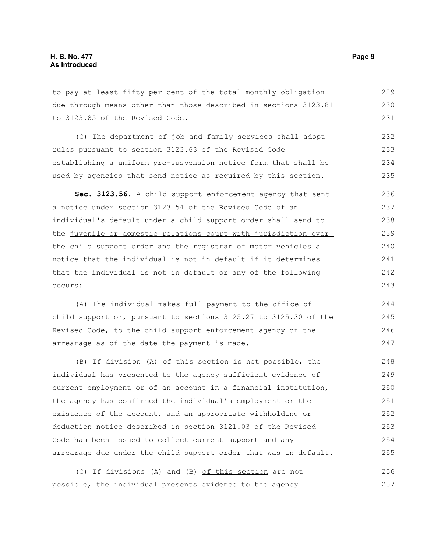to pay at least fifty per cent of the total monthly obligation due through means other than those described in sections 3123.81 to 3123.85 of the Revised Code. 229 230 231

(C) The department of job and family services shall adopt rules pursuant to section 3123.63 of the Revised Code establishing a uniform pre-suspension notice form that shall be used by agencies that send notice as required by this section. 232 233 234 235

**Sec. 3123.56.** A child support enforcement agency that sent a notice under section 3123.54 of the Revised Code of an individual's default under a child support order shall send to the juvenile or domestic relations court with jurisdiction over the child support order and the registrar of motor vehicles a notice that the individual is not in default if it determines that the individual is not in default or any of the following occurs: 236 237 238 239 240 241 242 243

(A) The individual makes full payment to the office of child support or, pursuant to sections 3125.27 to 3125.30 of the Revised Code, to the child support enforcement agency of the arrearage as of the date the payment is made.

(B) If division (A) of this section is not possible, the individual has presented to the agency sufficient evidence of current employment or of an account in a financial institution, the agency has confirmed the individual's employment or the existence of the account, and an appropriate withholding or deduction notice described in section 3121.03 of the Revised Code has been issued to collect current support and any arrearage due under the child support order that was in default. 248 249 250 251 252 253 254 255

(C) If divisions (A) and (B) of this section are not possible, the individual presents evidence to the agency 256 257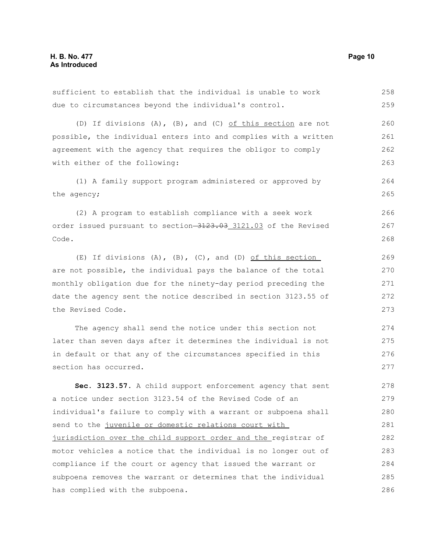| sufficient to establish that the individual is unable to work        | 258 |
|----------------------------------------------------------------------|-----|
| due to circumstances beyond the individual's control.                | 259 |
| (D) If divisions (A), (B), and (C) of this section are not           | 260 |
| possible, the individual enters into and complies with a written     | 261 |
| agreement with the agency that requires the obligor to comply        | 262 |
| with either of the following:                                        | 263 |
| (1) A family support program administered or approved by             | 264 |
| the agency;                                                          | 265 |
| (2) A program to establish compliance with a seek work               | 266 |
| order issued pursuant to section-3123.03 3121.03 of the Revised      | 267 |
| Code.                                                                | 268 |
| $(E)$ If divisions $(A)$ , $(B)$ , $(C)$ , and $(D)$ of this section | 269 |
| are not possible, the individual pays the balance of the total       | 270 |
| monthly obligation due for the ninety-day period preceding the       | 271 |
| date the agency sent the notice described in section 3123.55 of      | 272 |
| the Revised Code.                                                    | 273 |
| The agency shall send the notice under this section not              | 274 |
| later than seven days after it determines the individual is not      | 275 |
| in default or that any of the circumstances specified in this        | 276 |
| section has occurred.                                                | 277 |
| Sec. 3123.57. A child support enforcement agency that sent           | 278 |
| a notice under section 3123.54 of the Revised Code of an             | 279 |
| individual's failure to comply with a warrant or subpoena shall      | 280 |
| send to the juvenile or domestic relations court with                | 281 |
| jurisdiction over the child support order and the registrar of       | 282 |
| motor vehicles a notice that the individual is no longer out of      | 283 |
| compliance if the court or agency that issued the warrant or         | 284 |
| subpoena removes the warrant or determines that the individual       | 285 |
| has complied with the subpoena.                                      | 286 |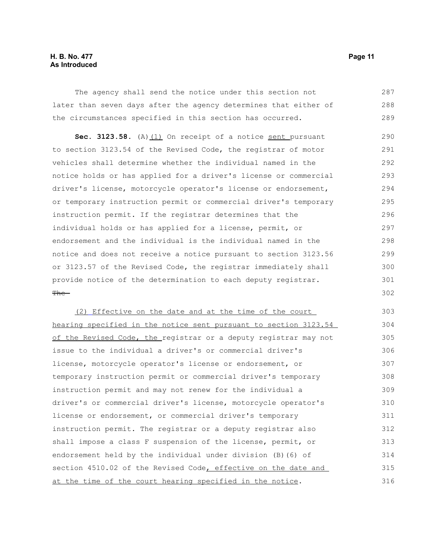### **H. B. No. 477 Page 11 As Introduced**

The agency shall send the notice under this section not later than seven days after the agency determines that either of the circumstances specified in this section has occurred. 287 288 289

**Sec. 3123.58.** (A)  $(1)$  On receipt of a notice sent pursuant to section 3123.54 of the Revised Code, the registrar of motor vehicles shall determine whether the individual named in the notice holds or has applied for a driver's license or commercial driver's license, motorcycle operator's license or endorsement, or temporary instruction permit or commercial driver's temporary instruction permit. If the registrar determines that the individual holds or has applied for a license, permit, or endorsement and the individual is the individual named in the notice and does not receive a notice pursuant to section 3123.56 or 3123.57 of the Revised Code, the registrar immediately shall provide notice of the determination to each deputy registrar.  $<sub>the</sub>$ </sub> 290 291 292 293 294 295 296 297 298 299 300 301 302

 (2) Effective on the date and at the time of the court hearing specified in the notice sent pursuant to section 3123.54 of the Revised Code, the registrar or a deputy registrar may not issue to the individual a driver's or commercial driver's license, motorcycle operator's license or endorsement, or temporary instruction permit or commercial driver's temporary instruction permit and may not renew for the individual a driver's or commercial driver's license, motorcycle operator's license or endorsement, or commercial driver's temporary instruction permit. The registrar or a deputy registrar also shall impose a class F suspension of the license, permit, or endorsement held by the individual under division (B)(6) of section 4510.02 of the Revised Code, effective on the date and at the time of the court hearing specified in the notice. 303 304 305 306 307 308 309 310 311 312 313 314 315 316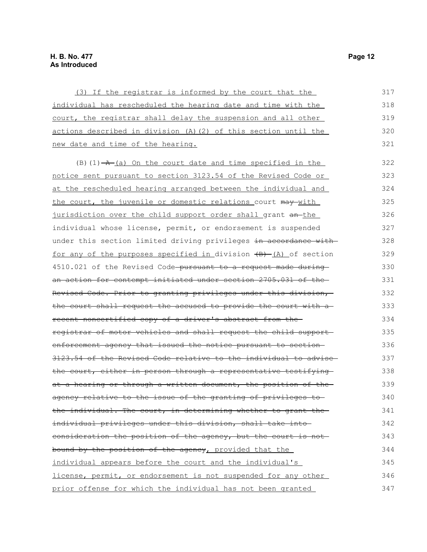| (3) If the registrar is informed by the court that the           | 317 |
|------------------------------------------------------------------|-----|
| individual has rescheduled the hearing date and time with the    | 318 |
| court, the registrar shall delay the suspension and all other    | 319 |
| actions described in division (A) (2) of this section until the  | 320 |
| new date and time of the hearing.                                | 321 |
| $(B)$ (1) $A$ (a) On the court date and time specified in the    | 322 |
| notice sent pursuant to section 3123.54 of the Revised Code or   | 323 |
| at the rescheduled hearing arranged between the individual and   | 324 |
| the court, the juvenile or domestic relations court may with     | 325 |
| jurisdiction over the child support order shall grant an-the     | 326 |
| individual whose license, permit, or endorsement is suspended    | 327 |
| under this section limited driving privileges in accordance with | 328 |
| for any of the purposes specified in division (B) (A) of section | 329 |
| 4510.021 of the Revised Code-pursuant to a request made during-  | 330 |
| an action for contempt initiated under section 2705.031 of the   | 331 |
| Revised Code. Prior to granting privileges under this division,  | 332 |
| the court shall request the accused to provide the court with a  | 333 |
| recent noncertified copy of a driver's abstract from the-        | 334 |
| registrar of motor vehicles and shall request the child support- | 335 |
| enforcement agency that issued the notice pursuant to section-   | 336 |
| 3123.54 of the Revised Code relative to the individual to advise | 337 |
| the court, either in person through a representative testifying  | 338 |
| at a hearing or through a written document, the position of the  | 339 |
| agency relative to the issue of the granting of privileges to-   | 340 |
| the individual. The court, in determining whether to grant the   | 341 |
| individual privileges under this division, shall take into-      | 342 |
| eonsideration the position of the agency, but the court is not   | 343 |
| bound by the position of the agency, provided that the           | 344 |
| individual appears before the court and the individual's         | 345 |
| license, permit, or endorsement is not suspended for any other   | 346 |
| prior offense for which the individual has not been granted      | 347 |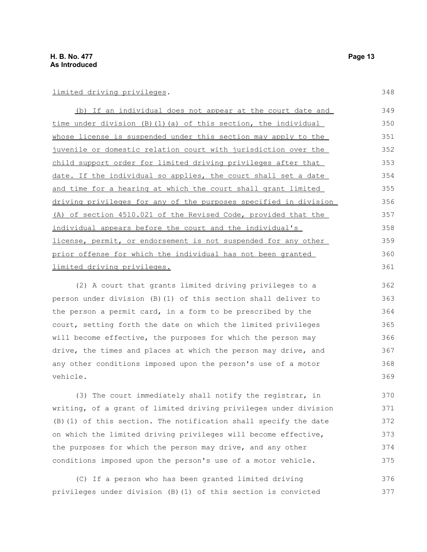## limited driving privileges.

| (b) If an individual does not appear at the court date and            | 349 |
|-----------------------------------------------------------------------|-----|
| time under division $(B)$ $(1)$ $(a)$ of this section, the individual | 350 |
| whose license is suspended under this section may apply to the        | 351 |
| juvenile or domestic relation court with jurisdiction over the        | 352 |
| child support order for limited driving privileges after that         | 353 |
| date. If the individual so applies, the court shall set a date        | 354 |
| and time for a hearing at which the court shall grant limited         | 355 |
| driving privileges for any of the purposes specified in division      | 356 |
| (A) of section 4510.021 of the Revised Code, provided that the        | 357 |
| individual appears before the court and the individual's              | 358 |
| license, permit, or endorsement is not suspended for any other        | 359 |
| prior offense for which the individual has not been granted           | 360 |
| limited driving privileges.                                           | 361 |

(2) A court that grants limited driving privileges to a person under division (B)(1) of this section shall deliver to the person a permit card, in a form to be prescribed by the court, setting forth the date on which the limited privileges will become effective, the purposes for which the person may drive, the times and places at which the person may drive, and any other conditions imposed upon the person's use of a motor vehicle. 363 364 365 366 369

(3) The court immediately shall notify the registrar, in writing, of a grant of limited driving privileges under division (B)(1) of this section. The notification shall specify the date on which the limited driving privileges will become effective, the purposes for which the person may drive, and any other conditions imposed upon the person's use of a motor vehicle. 370 371 372 373 374 375

(C) If a person who has been granted limited driving privileges under division (B)(1) of this section is convicted 376 377

- 362
- 367 368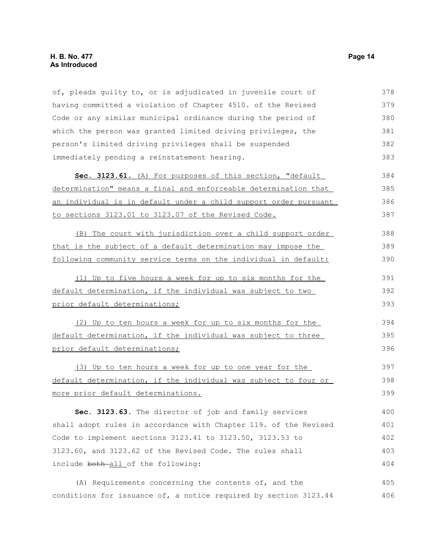of, pleads guilty to, or is adjudicated in juvenile court of having committed a violation of Chapter 4510. of the Revised Code or any similar municipal ordinance during the period of which the person was granted limited driving privileges, the person's limited driving privileges shall be suspended immediately pending a reinstatement hearing. Sec. 3123.61. (A) For purposes of this section, "default determination" means a final and enforceable determination that an individual is in default under a child support order pursuant to sections 3123.01 to 3123.07 of the Revised Code. (B) The court with jurisdiction over a child support order that is the subject of a default determination may impose the following community service terms on the individual in default: (1) Up to five hours a week for up to six months for the default determination, if the individual was subject to two prior default determinations; (2) Up to ten hours a week for up to six months for the default determination, if the individual was subject to three prior default determinations; (3) Up to ten hours a week for up to one year for the default determination, if the individual was subject to four or more prior default determinations. **Sec. 3123.63.** The director of job and family services shall adopt rules in accordance with Chapter 119. of the Revised Code to implement sections 3123.41 to 3123.50, 3123.53 to 3123.60, and 3123.62 of the Revised Code. The rules shall include both-all\_of the following: (A) Requirements concerning the contents of, and the 378 379 380 381 382 383 384 385 386 387 388 389 390 391 392 393 394 395 396 397 398 399 400 401 402 403 404 405

conditions for issuance of, a notice required by section 3123.44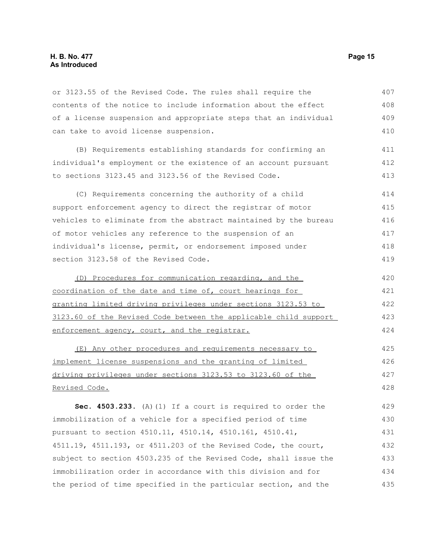#### **H. B. No. 477 Page 15 As Introduced**

or 3123.55 of the Revised Code. The rules shall require the contents of the notice to include information about the effect of a license suspension and appropriate steps that an individual can take to avoid license suspension. 407 408 409 410

(B) Requirements establishing standards for confirming an individual's employment or the existence of an account pursuant to sections 3123.45 and 3123.56 of the Revised Code. 411 412 413

(C) Requirements concerning the authority of a child support enforcement agency to direct the registrar of motor vehicles to eliminate from the abstract maintained by the bureau of motor vehicles any reference to the suspension of an individual's license, permit, or endorsement imposed under section 3123.58 of the Revised Code. 414 415 416 417 418 419

(D) Procedures for communication regarding, and the coordination of the date and time of, court hearings for granting limited driving privileges under sections 3123.53 to 3123.60 of the Revised Code between the applicable child support enforcement agency, court, and the registrar. 420 421 422 423 424

(E) Any other procedures and requirements necessary to implement license suspensions and the granting of limited driving privileges under sections 3123.53 to 3123.60 of the Revised Code. 425 426 427 428

**Sec. 4503.233.** (A)(1) If a court is required to order the immobilization of a vehicle for a specified period of time pursuant to section 4510.11, 4510.14, 4510.161, 4510.41, 4511.19, 4511.193, or 4511.203 of the Revised Code, the court, subject to section 4503.235 of the Revised Code, shall issue the immobilization order in accordance with this division and for the period of time specified in the particular section, and the 429 430 431 432 433 434 435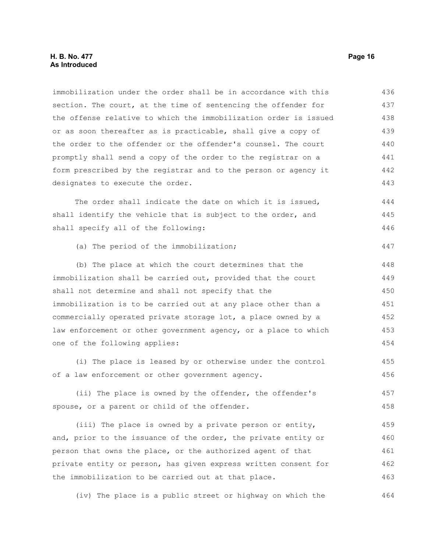#### **H. B. No. 477 Page 16 As Introduced**

immobilization under the order shall be in accordance with this section. The court, at the time of sentencing the offender for the offense relative to which the immobilization order is issued or as soon thereafter as is practicable, shall give a copy of the order to the offender or the offender's counsel. The court promptly shall send a copy of the order to the registrar on a form prescribed by the registrar and to the person or agency it designates to execute the order. The order shall indicate the date on which it is issued, shall identify the vehicle that is subject to the order, and shall specify all of the following: (a) The period of the immobilization; (b) The place at which the court determines that the immobilization shall be carried out, provided that the court shall not determine and shall not specify that the immobilization is to be carried out at any place other than a commercially operated private storage lot, a place owned by a law enforcement or other government agency, or a place to which one of the following applies: (i) The place is leased by or otherwise under the control of a law enforcement or other government agency. (ii) The place is owned by the offender, the offender's spouse, or a parent or child of the offender. (iii) The place is owned by a private person or entity, and, prior to the issuance of the order, the private entity or person that owns the place, or the authorized agent of that private entity or person, has given express written consent for the immobilization to be carried out at that place. (iv) The place is a public street or highway on which the 436 437 438 439 440 441 442 443 444 445 446 447 448 449 450 451 452 453 454 455 456 457 458 459 460 461 462 463 464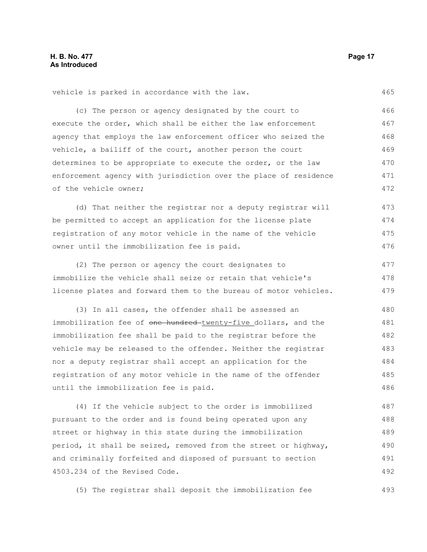465

vehicle is parked in accordance with the law.

(c) The person or agency designated by the court to execute the order, which shall be either the law enforcement agency that employs the law enforcement officer who seized the vehicle, a bailiff of the court, another person the court determines to be appropriate to execute the order, or the law enforcement agency with jurisdiction over the place of residence of the vehicle owner; 466 467 468 469 470 471 472

(d) That neither the registrar nor a deputy registrar will be permitted to accept an application for the license plate registration of any motor vehicle in the name of the vehicle owner until the immobilization fee is paid. 473 474 475 476

(2) The person or agency the court designates to immobilize the vehicle shall seize or retain that vehicle's license plates and forward them to the bureau of motor vehicles. 477 478 479

(3) In all cases, the offender shall be assessed an immobilization fee of one hundred-twenty-five dollars, and the immobilization fee shall be paid to the registrar before the vehicle may be released to the offender. Neither the registrar nor a deputy registrar shall accept an application for the registration of any motor vehicle in the name of the offender until the immobilization fee is paid. 480 481 482 483 484 485 486

(4) If the vehicle subject to the order is immobilized pursuant to the order and is found being operated upon any street or highway in this state during the immobilization period, it shall be seized, removed from the street or highway, and criminally forfeited and disposed of pursuant to section 4503.234 of the Revised Code. 487 488 489 490 491 492

(5) The registrar shall deposit the immobilization fee 493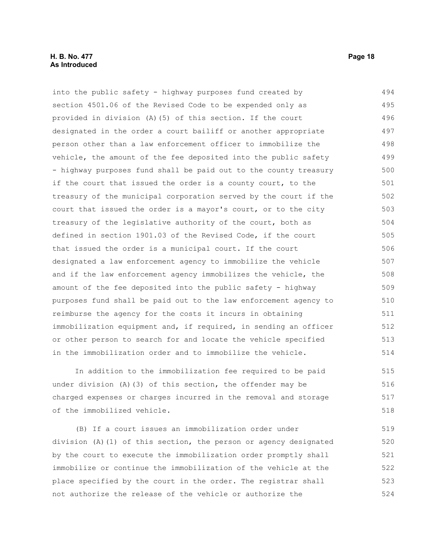#### **H. B. No. 477 Page 18 As Introduced**

into the public safety - highway purposes fund created by section 4501.06 of the Revised Code to be expended only as provided in division (A)(5) of this section. If the court designated in the order a court bailiff or another appropriate person other than a law enforcement officer to immobilize the vehicle, the amount of the fee deposited into the public safety - highway purposes fund shall be paid out to the county treasury if the court that issued the order is a county court, to the treasury of the municipal corporation served by the court if the court that issued the order is a mayor's court, or to the city treasury of the legislative authority of the court, both as defined in section 1901.03 of the Revised Code, if the court that issued the order is a municipal court. If the court designated a law enforcement agency to immobilize the vehicle and if the law enforcement agency immobilizes the vehicle, the amount of the fee deposited into the public safety - highway purposes fund shall be paid out to the law enforcement agency to reimburse the agency for the costs it incurs in obtaining immobilization equipment and, if required, in sending an officer or other person to search for and locate the vehicle specified in the immobilization order and to immobilize the vehicle. 494 495 496 497 498 499 500 501 502 503 504 505 506 507 508 509 510 511 512 513 514

In addition to the immobilization fee required to be paid under division (A)(3) of this section, the offender may be charged expenses or charges incurred in the removal and storage of the immobilized vehicle. 515 516 517 518

(B) If a court issues an immobilization order under division (A)(1) of this section, the person or agency designated by the court to execute the immobilization order promptly shall immobilize or continue the immobilization of the vehicle at the place specified by the court in the order. The registrar shall not authorize the release of the vehicle or authorize the 519 520 521 522 523 524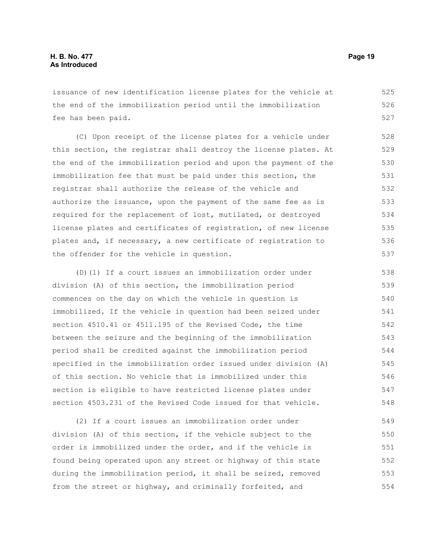issuance of new identification license plates for the vehicle at the end of the immobilization period until the immobilization fee has been paid.

(C) Upon receipt of the license plates for a vehicle under this section, the registrar shall destroy the license plates. At the end of the immobilization period and upon the payment of the immobilization fee that must be paid under this section, the registrar shall authorize the release of the vehicle and authorize the issuance, upon the payment of the same fee as is required for the replacement of lost, mutilated, or destroyed license plates and certificates of registration, of new license plates and, if necessary, a new certificate of registration to the offender for the vehicle in question. 528 529 530 531 532 533 534 535 536 537

(D)(1) If a court issues an immobilization order under division (A) of this section, the immobilization period commences on the day on which the vehicle in question is immobilized. If the vehicle in question had been seized under section 4510.41 or 4511.195 of the Revised Code, the time between the seizure and the beginning of the immobilization period shall be credited against the immobilization period specified in the immobilization order issued under division (A) of this section. No vehicle that is immobilized under this section is eligible to have restricted license plates under section 4503.231 of the Revised Code issued for that vehicle. 538 539 540 541 542 543 544 545 546 547 548

(2) If a court issues an immobilization order under division (A) of this section, if the vehicle subject to the order is immobilized under the order, and if the vehicle is found being operated upon any street or highway of this state during the immobilization period, it shall be seized, removed from the street or highway, and criminally forfeited, and 549 550 551 552 553 554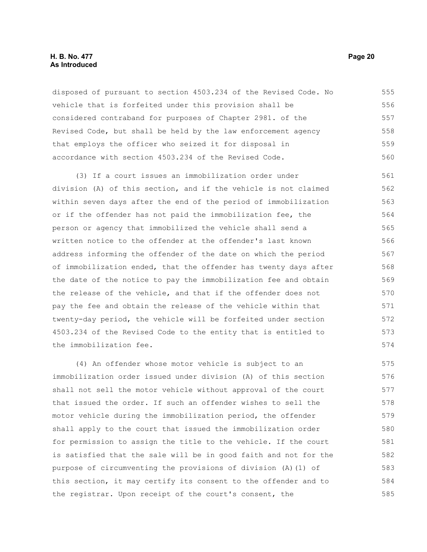#### **H. B. No. 477 Page 20 As Introduced**

disposed of pursuant to section 4503.234 of the Revised Code. No vehicle that is forfeited under this provision shall be considered contraband for purposes of Chapter 2981. of the Revised Code, but shall be held by the law enforcement agency that employs the officer who seized it for disposal in accordance with section 4503.234 of the Revised Code. 555 556 557 558 559 560

(3) If a court issues an immobilization order under division (A) of this section, and if the vehicle is not claimed within seven days after the end of the period of immobilization or if the offender has not paid the immobilization fee, the person or agency that immobilized the vehicle shall send a written notice to the offender at the offender's last known address informing the offender of the date on which the period of immobilization ended, that the offender has twenty days after the date of the notice to pay the immobilization fee and obtain the release of the vehicle, and that if the offender does not pay the fee and obtain the release of the vehicle within that twenty-day period, the vehicle will be forfeited under section 4503.234 of the Revised Code to the entity that is entitled to the immobilization fee. 561 562 563 564 565 566 567 568 569 570 571 572 573 574

(4) An offender whose motor vehicle is subject to an immobilization order issued under division (A) of this section shall not sell the motor vehicle without approval of the court that issued the order. If such an offender wishes to sell the motor vehicle during the immobilization period, the offender shall apply to the court that issued the immobilization order for permission to assign the title to the vehicle. If the court is satisfied that the sale will be in good faith and not for the purpose of circumventing the provisions of division (A)(1) of this section, it may certify its consent to the offender and to the registrar. Upon receipt of the court's consent, the 575 576 577 578 579 580 581 582 583 584 585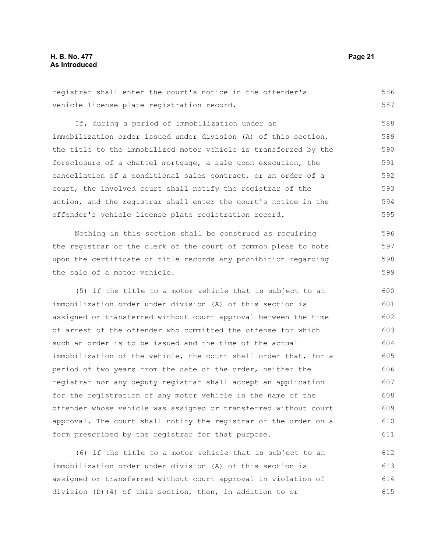registrar shall enter the court's notice in the offender's vehicle license plate registration record. 586 587

If, during a period of immobilization under an immobilization order issued under division (A) of this section, the title to the immobilized motor vehicle is transferred by the foreclosure of a chattel mortgage, a sale upon execution, the cancellation of a conditional sales contract, or an order of a court, the involved court shall notify the registrar of the action, and the registrar shall enter the court's notice in the offender's vehicle license plate registration record. 588 589 590 591 592 593 594 595

Nothing in this section shall be construed as requiring the registrar or the clerk of the court of common pleas to note upon the certificate of title records any prohibition regarding the sale of a motor vehicle. 596 597 598 599

(5) If the title to a motor vehicle that is subject to an immobilization order under division (A) of this section is assigned or transferred without court approval between the time of arrest of the offender who committed the offense for which such an order is to be issued and the time of the actual immobilization of the vehicle, the court shall order that, for a period of two years from the date of the order, neither the registrar nor any deputy registrar shall accept an application for the registration of any motor vehicle in the name of the offender whose vehicle was assigned or transferred without court approval. The court shall notify the registrar of the order on a form prescribed by the registrar for that purpose. 600 601 602 603 604 605 606 607 608 609 610 611

(6) If the title to a motor vehicle that is subject to an immobilization order under division (A) of this section is assigned or transferred without court approval in violation of division (D)(4) of this section, then, in addition to or 612 613 614 615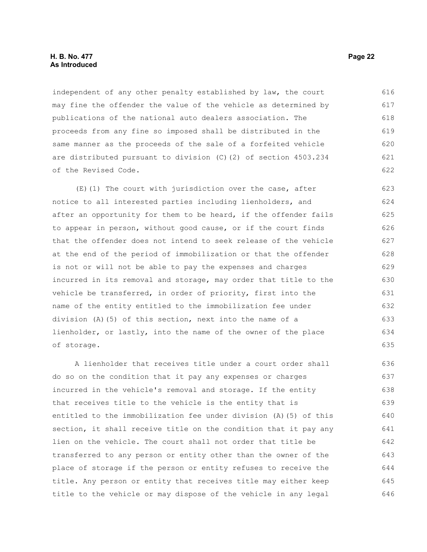#### **H. B. No. 477 Page 22 As Introduced**

independent of any other penalty established by law, the court may fine the offender the value of the vehicle as determined by publications of the national auto dealers association. The proceeds from any fine so imposed shall be distributed in the same manner as the proceeds of the sale of a forfeited vehicle are distributed pursuant to division (C)(2) of section 4503.234 of the Revised Code. 616 617 618 619 620 621 622

(E)(1) The court with jurisdiction over the case, after notice to all interested parties including lienholders, and after an opportunity for them to be heard, if the offender fails to appear in person, without good cause, or if the court finds that the offender does not intend to seek release of the vehicle at the end of the period of immobilization or that the offender is not or will not be able to pay the expenses and charges incurred in its removal and storage, may order that title to the vehicle be transferred, in order of priority, first into the name of the entity entitled to the immobilization fee under division (A)(5) of this section, next into the name of a lienholder, or lastly, into the name of the owner of the place of storage. 623 624 625 626 627 628 629 630 631 632 633 634 635

A lienholder that receives title under a court order shall do so on the condition that it pay any expenses or charges incurred in the vehicle's removal and storage. If the entity that receives title to the vehicle is the entity that is entitled to the immobilization fee under division (A)(5) of this section, it shall receive title on the condition that it pay any lien on the vehicle. The court shall not order that title be transferred to any person or entity other than the owner of the place of storage if the person or entity refuses to receive the title. Any person or entity that receives title may either keep title to the vehicle or may dispose of the vehicle in any legal 636 637 638 639 640 641 642 643 644 645 646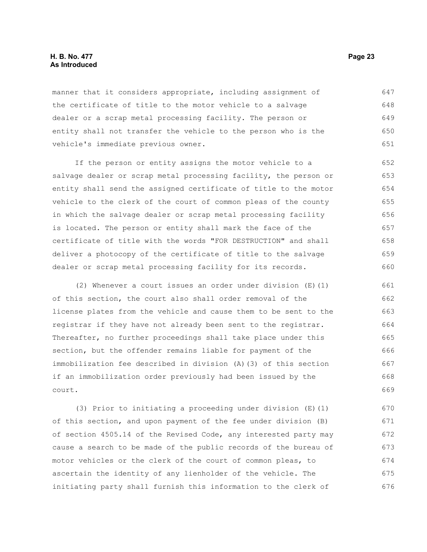#### **H. B. No. 477 Page 23 As Introduced**

manner that it considers appropriate, including assignment of the certificate of title to the motor vehicle to a salvage dealer or a scrap metal processing facility. The person or entity shall not transfer the vehicle to the person who is the vehicle's immediate previous owner. 647 648 649 650 651

If the person or entity assigns the motor vehicle to a salvage dealer or scrap metal processing facility, the person or entity shall send the assigned certificate of title to the motor vehicle to the clerk of the court of common pleas of the county in which the salvage dealer or scrap metal processing facility is located. The person or entity shall mark the face of the certificate of title with the words "FOR DESTRUCTION" and shall deliver a photocopy of the certificate of title to the salvage dealer or scrap metal processing facility for its records. 652 653 654 655 656 657 658 659 660

(2) Whenever a court issues an order under division (E)(1) of this section, the court also shall order removal of the license plates from the vehicle and cause them to be sent to the registrar if they have not already been sent to the registrar. Thereafter, no further proceedings shall take place under this section, but the offender remains liable for payment of the immobilization fee described in division (A)(3) of this section if an immobilization order previously had been issued by the court. 661 662 663 664 665 666 667 668 669

(3) Prior to initiating a proceeding under division (E)(1) of this section, and upon payment of the fee under division (B) of section 4505.14 of the Revised Code, any interested party may cause a search to be made of the public records of the bureau of motor vehicles or the clerk of the court of common pleas, to ascertain the identity of any lienholder of the vehicle. The initiating party shall furnish this information to the clerk of 670 671 672 673 674 675 676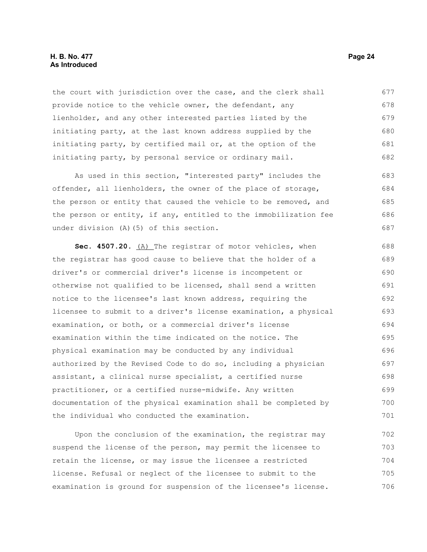### **H. B. No. 477 Page 24 As Introduced**

the court with jurisdiction over the case, and the clerk shall provide notice to the vehicle owner, the defendant, any lienholder, and any other interested parties listed by the initiating party, at the last known address supplied by the initiating party, by certified mail or, at the option of the initiating party, by personal service or ordinary mail. 677 678 679 680 681 682

As used in this section, "interested party" includes the offender, all lienholders, the owner of the place of storage, the person or entity that caused the vehicle to be removed, and the person or entity, if any, entitled to the immobilization fee under division (A)(5) of this section. 683 684 685 686 687

**Sec. 4507.20.** (A) The registrar of motor vehicles, when the registrar has good cause to believe that the holder of a driver's or commercial driver's license is incompetent or otherwise not qualified to be licensed, shall send a written notice to the licensee's last known address, requiring the licensee to submit to a driver's license examination, a physical examination, or both, or a commercial driver's license examination within the time indicated on the notice. The physical examination may be conducted by any individual authorized by the Revised Code to do so, including a physician assistant, a clinical nurse specialist, a certified nurse practitioner, or a certified nurse-midwife. Any written documentation of the physical examination shall be completed by the individual who conducted the examination. 688 689 690 691 692 693 694 695 696 697 698 699 700 701

Upon the conclusion of the examination, the registrar may suspend the license of the person, may permit the licensee to retain the license, or may issue the licensee a restricted license. Refusal or neglect of the licensee to submit to the examination is ground for suspension of the licensee's license. 702 703 704 705 706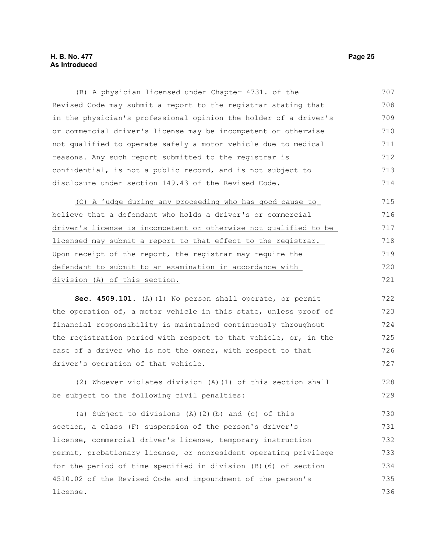## **H. B. No. 477 Page 25 As Introduced**

 (B) A physician licensed under Chapter 4731. of the Revised Code may submit a report to the registrar stating that in the physician's professional opinion the holder of a driver's or commercial driver's license may be incompetent or otherwise not qualified to operate safely a motor vehicle due to medical reasons. Any such report submitted to the registrar is confidential, is not a public record, and is not subject to disclosure under section 149.43 of the Revised Code. 707 708 709 710 711 712 713 714

 (C) A judge during any proceeding who has good cause to believe that a defendant who holds a driver's or commercial driver's license is incompetent or otherwise not qualified to be licensed may submit a report to that effect to the registrar. Upon receipt of the report, the registrar may require the defendant to submit to an examination in accordance with division (A) of this section. 715 716 717 718 719 720 721

**Sec. 4509.101.** (A)(1) No person shall operate, or permit the operation of, a motor vehicle in this state, unless proof of financial responsibility is maintained continuously throughout the registration period with respect to that vehicle, or, in the case of a driver who is not the owner, with respect to that driver's operation of that vehicle.

(2) Whoever violates division (A)(1) of this section shall be subject to the following civil penalties: 728 729

(a) Subject to divisions (A)(2)(b) and (c) of this section, a class (F) suspension of the person's driver's license, commercial driver's license, temporary instruction permit, probationary license, or nonresident operating privilege for the period of time specified in division (B)(6) of section 4510.02 of the Revised Code and impoundment of the person's license. 730 731 732 733 734 735 736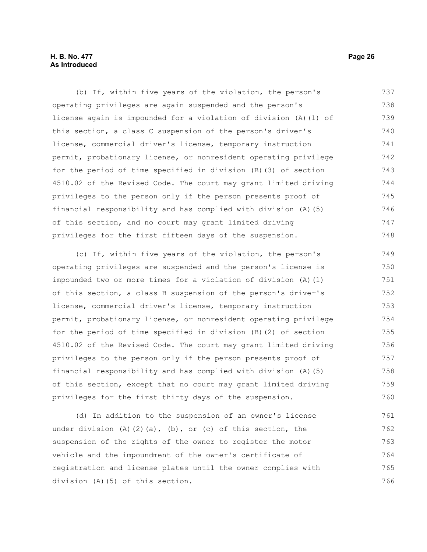## **H. B. No. 477 Page 26 As Introduced**

(b) If, within five years of the violation, the person's operating privileges are again suspended and the person's license again is impounded for a violation of division (A)(1) of this section, a class C suspension of the person's driver's license, commercial driver's license, temporary instruction permit, probationary license, or nonresident operating privilege for the period of time specified in division (B)(3) of section 4510.02 of the Revised Code. The court may grant limited driving privileges to the person only if the person presents proof of financial responsibility and has complied with division (A)(5) of this section, and no court may grant limited driving privileges for the first fifteen days of the suspension. 737 738 739 740 741 742 743 744 745 746 747 748

(c) If, within five years of the violation, the person's operating privileges are suspended and the person's license is impounded two or more times for a violation of division (A)(1) of this section, a class B suspension of the person's driver's license, commercial driver's license, temporary instruction permit, probationary license, or nonresident operating privilege for the period of time specified in division (B)(2) of section 4510.02 of the Revised Code. The court may grant limited driving privileges to the person only if the person presents proof of financial responsibility and has complied with division (A)(5) of this section, except that no court may grant limited driving privileges for the first thirty days of the suspension. 749 750 751 752 753 754 755 756 757 758 759 760

(d) In addition to the suspension of an owner's license under division  $(A)$   $(2)$   $(a)$ ,  $(b)$ , or  $(c)$  of this section, the suspension of the rights of the owner to register the motor vehicle and the impoundment of the owner's certificate of registration and license plates until the owner complies with division (A)(5) of this section. 761 762 763 764 765 766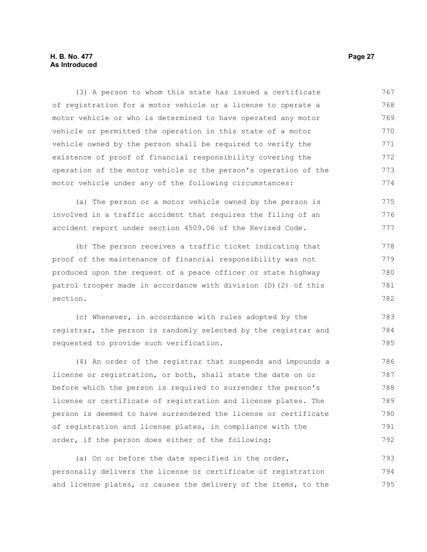### **H. B. No. 477 Page 27 As Introduced**

(3) A person to whom this state has issued a certificate of registration for a motor vehicle or a license to operate a motor vehicle or who is determined to have operated any motor vehicle or permitted the operation in this state of a motor vehicle owned by the person shall be required to verify the existence of proof of financial responsibility covering the operation of the motor vehicle or the person's operation of the motor vehicle under any of the following circumstances: 767 768 769 770 771 772 773 774

(a) The person or a motor vehicle owned by the person is involved in a traffic accident that requires the filing of an accident report under section 4509.06 of the Revised Code. 775 776 777

(b) The person receives a traffic ticket indicating that proof of the maintenance of financial responsibility was not produced upon the request of a peace officer or state highway patrol trooper made in accordance with division (D)(2) of this section. 778 779 780 781 782

(c) Whenever, in accordance with rules adopted by the registrar, the person is randomly selected by the registrar and requested to provide such verification.

(4) An order of the registrar that suspends and impounds a license or registration, or both, shall state the date on or before which the person is required to surrender the person's license or certificate of registration and license plates. The person is deemed to have surrendered the license or certificate of registration and license plates, in compliance with the order, if the person does either of the following: 786 787 788 789 790 791 792

(a) On or before the date specified in the order, personally delivers the license or certificate of registration and license plates, or causes the delivery of the items, to the 793 794 795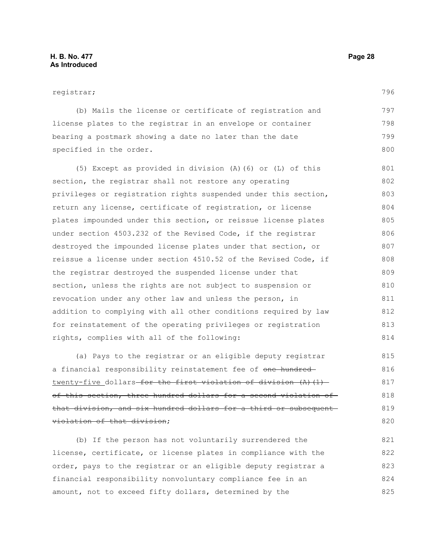#### registrar;

796

| (b) Mails the license or certificate of registration and    | 797 |
|-------------------------------------------------------------|-----|
| license plates to the registrar in an envelope or container | 798 |
| bearing a postmark showing a date no later than the date    | 799 |
| specified in the order.                                     | 800 |

(5) Except as provided in division (A)(6) or (L) of this section, the registrar shall not restore any operating privileges or registration rights suspended under this section, return any license, certificate of registration, or license plates impounded under this section, or reissue license plates under section 4503.232 of the Revised Code, if the registrar destroyed the impounded license plates under that section, or reissue a license under section 4510.52 of the Revised Code, if the registrar destroyed the suspended license under that section, unless the rights are not subject to suspension or revocation under any other law and unless the person, in addition to complying with all other conditions required by law for reinstatement of the operating privileges or registration rights, complies with all of the following: 801 802 803 804 805 806 807 808 809 810 811 812 813 814

(a) Pays to the registrar or an eligible deputy registrar a financial responsibility reinstatement fee of one hundred twenty-five dollars for the first violation of division  $(A)$   $(1)$ of this section, three hundred dollars for a second violation of that division, and six hundred dollars for a third or subsequent violation of that division; 815 816 817 818 819 820

(b) If the person has not voluntarily surrendered the license, certificate, or license plates in compliance with the order, pays to the registrar or an eligible deputy registrar a financial responsibility nonvoluntary compliance fee in an amount, not to exceed fifty dollars, determined by the 821 822 823 824 825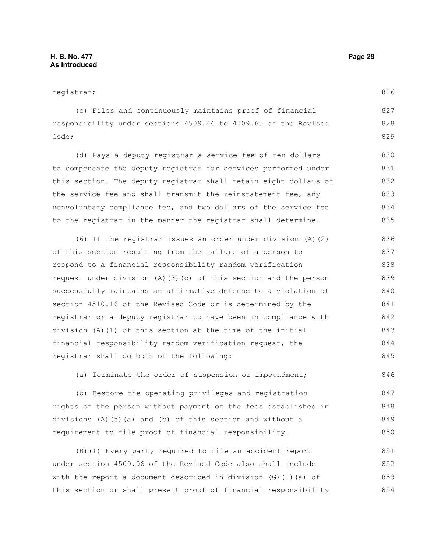#### registrar; (c) Files and continuously maintains proof of financial responsibility under sections 4509.44 to 4509.65 of the Revised Code; (d) Pays a deputy registrar a service fee of ten dollars to compensate the deputy registrar for services performed under this section. The deputy registrar shall retain eight dollars of the service fee and shall transmit the reinstatement fee, any nonvoluntary compliance fee, and two dollars of the service fee to the registrar in the manner the registrar shall determine. (6) If the registrar issues an order under division (A)(2) of this section resulting from the failure of a person to respond to a financial responsibility random verification request under division (A)(3)(c) of this section and the person successfully maintains an affirmative defense to a violation of section 4510.16 of the Revised Code or is determined by the registrar or a deputy registrar to have been in compliance with division (A)(1) of this section at the time of the initial financial responsibility random verification request, the registrar shall do both of the following: (a) Terminate the order of suspension or impoundment; (b) Restore the operating privileges and registration rights of the person without payment of the fees established in divisions (A)(5)(a) and (b) of this section and without a requirement to file proof of financial responsibility. 826 827 828 829 830 831 832 833 834 835 836 837 838 839 840 841 842 843 844 845 846 847 848 849 850 851

(B)(1) Every party required to file an accident report under section 4509.06 of the Revised Code also shall include with the report a document described in division  $(G)$  (1)(a) of this section or shall present proof of financial responsibility 852 853 854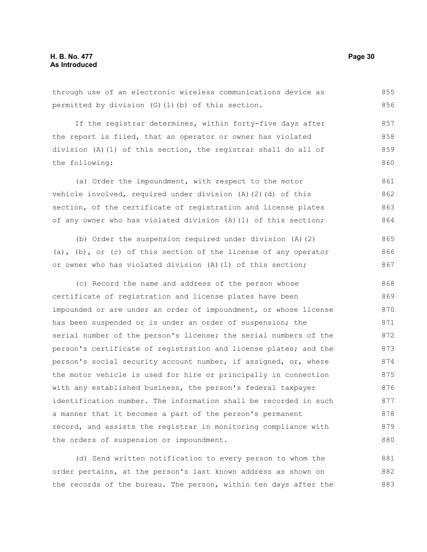through use of an electronic wireless communications device as permitted by division (G)(1)(b) of this section. 855 856 857

If the registrar determines, within forty-five days after the report is filed, that an operator or owner has violated division (A)(1) of this section, the registrar shall do all of the following: 858 859 860

(a) Order the impoundment, with respect to the motor vehicle involved, required under division (A)(2)(d) of this section, of the certificate of registration and license plates of any owner who has violated division (A)(1) of this section; 861 862 863 864

(b) Order the suspension required under division (A)(2) (a), (b), or (c) of this section of the license of any operator or owner who has violated division (A)(1) of this section; 865 866 867

(c) Record the name and address of the person whose certificate of registration and license plates have been impounded or are under an order of impoundment, or whose license has been suspended or is under an order of suspension; the serial number of the person's license; the serial numbers of the person's certificate of registration and license plates; and the person's social security account number, if assigned, or, where the motor vehicle is used for hire or principally in connection with any established business, the person's federal taxpayer identification number. The information shall be recorded in such a manner that it becomes a part of the person's permanent record, and assists the registrar in monitoring compliance with the orders of suspension or impoundment. 868 869 870 871 872 873 874 875 876 877 878 879 880

(d) Send written notification to every person to whom the order pertains, at the person's last known address as shown on the records of the bureau. The person, within ten days after the 881 882 883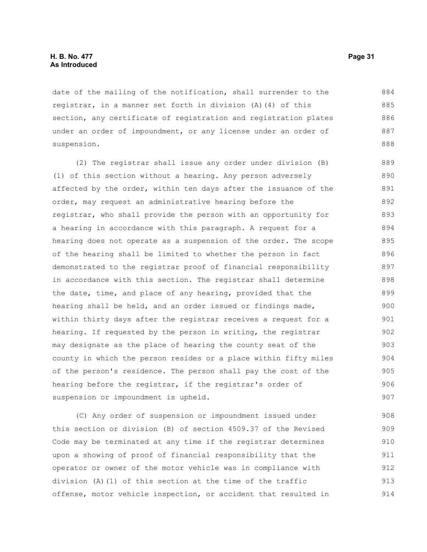date of the mailing of the notification, shall surrender to the registrar, in a manner set forth in division (A)(4) of this section, any certificate of registration and registration plates under an order of impoundment, or any license under an order of suspension. 884 885 886 887 888

(2) The registrar shall issue any order under division (B) (1) of this section without a hearing. Any person adversely affected by the order, within ten days after the issuance of the order, may request an administrative hearing before the registrar, who shall provide the person with an opportunity for a hearing in accordance with this paragraph. A request for a hearing does not operate as a suspension of the order. The scope of the hearing shall be limited to whether the person in fact demonstrated to the registrar proof of financial responsibility in accordance with this section. The registrar shall determine the date, time, and place of any hearing, provided that the hearing shall be held, and an order issued or findings made, within thirty days after the registrar receives a request for a hearing. If requested by the person in writing, the registrar may designate as the place of hearing the county seat of the county in which the person resides or a place within fifty miles of the person's residence. The person shall pay the cost of the hearing before the registrar, if the registrar's order of suspension or impoundment is upheld. 889 890 891 892 893 894 895 896 897 898 899 900 901 902 903 904 905 906 907

(C) Any order of suspension or impoundment issued under this section or division (B) of section 4509.37 of the Revised Code may be terminated at any time if the registrar determines upon a showing of proof of financial responsibility that the operator or owner of the motor vehicle was in compliance with division (A)(1) of this section at the time of the traffic offense, motor vehicle inspection, or accident that resulted in 908 909 910 911 912 913 914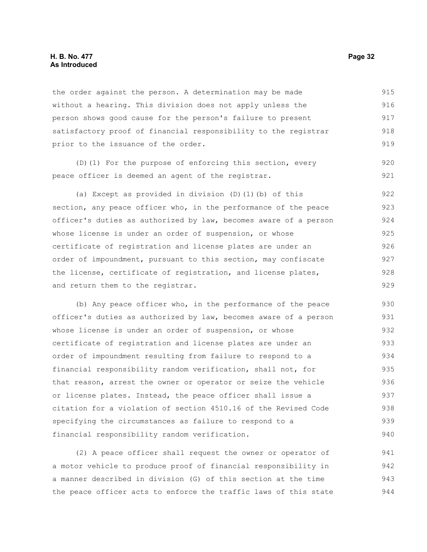#### **H. B. No. 477 Page 32 As Introduced**

the order against the person. A determination may be made without a hearing. This division does not apply unless the person shows good cause for the person's failure to present satisfactory proof of financial responsibility to the registrar prior to the issuance of the order. 915 916 917 918 919

(D)(1) For the purpose of enforcing this section, every peace officer is deemed an agent of the registrar. 920 921

(a) Except as provided in division (D)(1)(b) of this section, any peace officer who, in the performance of the peace officer's duties as authorized by law, becomes aware of a person whose license is under an order of suspension, or whose certificate of registration and license plates are under an order of impoundment, pursuant to this section, may confiscate the license, certificate of registration, and license plates, and return them to the registrar. 922 923 924 925 926 927 928 929

(b) Any peace officer who, in the performance of the peace officer's duties as authorized by law, becomes aware of a person whose license is under an order of suspension, or whose certificate of registration and license plates are under an order of impoundment resulting from failure to respond to a financial responsibility random verification, shall not, for that reason, arrest the owner or operator or seize the vehicle or license plates. Instead, the peace officer shall issue a citation for a violation of section 4510.16 of the Revised Code specifying the circumstances as failure to respond to a financial responsibility random verification. 930 931 932 933 934 935 936 937 938 939 940

(2) A peace officer shall request the owner or operator of a motor vehicle to produce proof of financial responsibility in a manner described in division (G) of this section at the time the peace officer acts to enforce the traffic laws of this state 941 942 943 944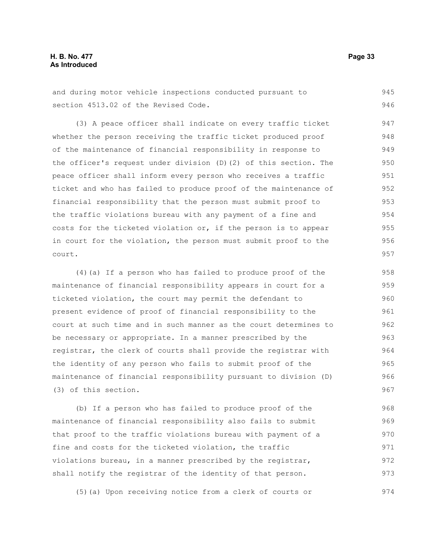and during motor vehicle inspections conducted pursuant to section 4513.02 of the Revised Code. 945 946

(3) A peace officer shall indicate on every traffic ticket whether the person receiving the traffic ticket produced proof of the maintenance of financial responsibility in response to the officer's request under division (D)(2) of this section. The peace officer shall inform every person who receives a traffic ticket and who has failed to produce proof of the maintenance of financial responsibility that the person must submit proof to the traffic violations bureau with any payment of a fine and costs for the ticketed violation or, if the person is to appear in court for the violation, the person must submit proof to the court. 947 948 949 950 951 952 953 954 955 956 957

(4)(a) If a person who has failed to produce proof of the maintenance of financial responsibility appears in court for a ticketed violation, the court may permit the defendant to present evidence of proof of financial responsibility to the court at such time and in such manner as the court determines to be necessary or appropriate. In a manner prescribed by the registrar, the clerk of courts shall provide the registrar with the identity of any person who fails to submit proof of the maintenance of financial responsibility pursuant to division (D) (3) of this section. 958 959 960 961 962 963 964 965 966 967

(b) If a person who has failed to produce proof of the maintenance of financial responsibility also fails to submit that proof to the traffic violations bureau with payment of a fine and costs for the ticketed violation, the traffic violations bureau, in a manner prescribed by the registrar, shall notify the registrar of the identity of that person. 968 969 970 971 972 973

(5)(a) Upon receiving notice from a clerk of courts or 974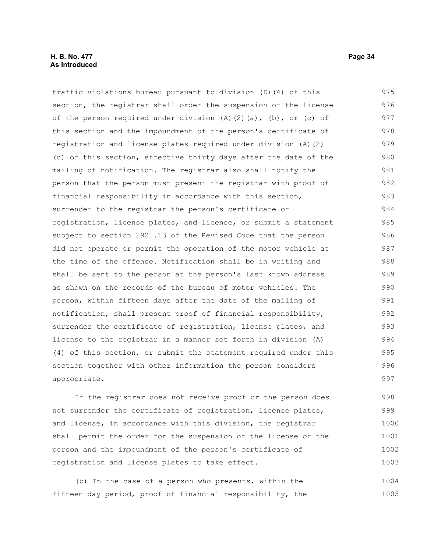### **H. B. No. 477 Page 34 As Introduced**

traffic violations bureau pursuant to division (D)(4) of this section, the registrar shall order the suspension of the license of the person required under division  $(A)$   $(2)$   $(a)$ ,  $(b)$ , or  $(c)$  of this section and the impoundment of the person's certificate of registration and license plates required under division (A)(2) (d) of this section, effective thirty days after the date of the mailing of notification. The registrar also shall notify the person that the person must present the registrar with proof of financial responsibility in accordance with this section, surrender to the registrar the person's certificate of registration, license plates, and license, or submit a statement subject to section 2921.13 of the Revised Code that the person did not operate or permit the operation of the motor vehicle at the time of the offense. Notification shall be in writing and shall be sent to the person at the person's last known address as shown on the records of the bureau of motor vehicles. The person, within fifteen days after the date of the mailing of notification, shall present proof of financial responsibility, surrender the certificate of registration, license plates, and license to the registrar in a manner set forth in division (A) (4) of this section, or submit the statement required under this section together with other information the person considers appropriate. 975 976 977 978 979 980 981 982 983 984 985 986 987 988 989 990 991 992 993 994 995 996 997

If the registrar does not receive proof or the person does not surrender the certificate of registration, license plates, and license, in accordance with this division, the registrar shall permit the order for the suspension of the license of the person and the impoundment of the person's certificate of registration and license plates to take effect. 998 999 1000 1001 1002 1003

(b) In the case of a person who presents, within the fifteen-day period, proof of financial responsibility, the 1004 1005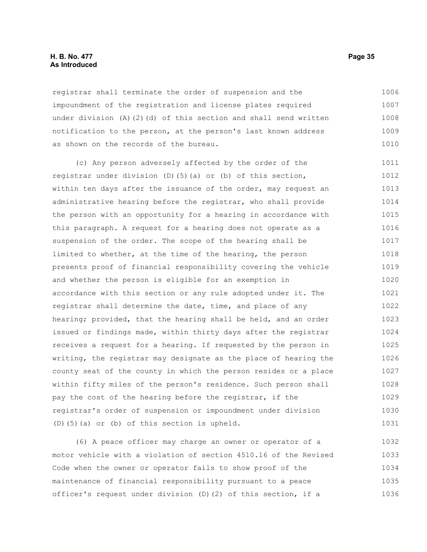#### **H. B. No. 477 Page 35 As Introduced**

registrar shall terminate the order of suspension and the impoundment of the registration and license plates required under division (A)(2)(d) of this section and shall send written notification to the person, at the person's last known address as shown on the records of the bureau. 1006 1007 1008 1009 1010

(c) Any person adversely affected by the order of the registrar under division (D)(5)(a) or (b) of this section, within ten days after the issuance of the order, may request an administrative hearing before the registrar, who shall provide the person with an opportunity for a hearing in accordance with this paragraph. A request for a hearing does not operate as a suspension of the order. The scope of the hearing shall be limited to whether, at the time of the hearing, the person presents proof of financial responsibility covering the vehicle and whether the person is eligible for an exemption in accordance with this section or any rule adopted under it. The registrar shall determine the date, time, and place of any hearing; provided, that the hearing shall be held, and an order issued or findings made, within thirty days after the registrar receives a request for a hearing. If requested by the person in writing, the registrar may designate as the place of hearing the county seat of the county in which the person resides or a place within fifty miles of the person's residence. Such person shall pay the cost of the hearing before the registrar, if the registrar's order of suspension or impoundment under division (D)(5)(a) or (b) of this section is upheld. 1011 1012 1013 1014 1015 1016 1017 1018 1019 1020 1021 1022 1023 1024 1025 1026 1027 1028 1029 1030 1031

(6) A peace officer may charge an owner or operator of a motor vehicle with a violation of section 4510.16 of the Revised Code when the owner or operator fails to show proof of the maintenance of financial responsibility pursuant to a peace officer's request under division (D)(2) of this section, if a 1032 1033 1034 1035 1036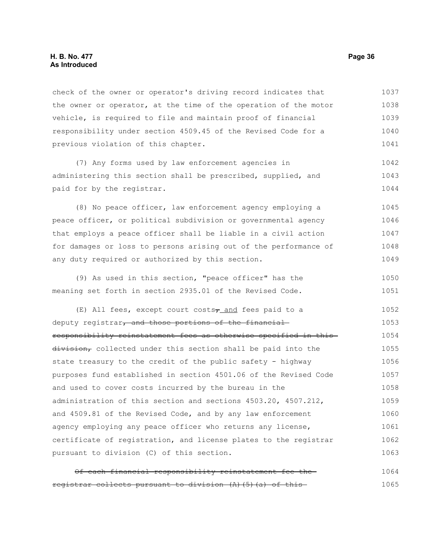check of the owner or operator's driving record indicates that the owner or operator, at the time of the operation of the motor vehicle, is required to file and maintain proof of financial responsibility under section 4509.45 of the Revised Code for a previous violation of this chapter. 1037 1038 1039 1040 1041

(7) Any forms used by law enforcement agencies in administering this section shall be prescribed, supplied, and paid for by the registrar. 1042 1043 1044

(8) No peace officer, law enforcement agency employing a peace officer, or political subdivision or governmental agency that employs a peace officer shall be liable in a civil action for damages or loss to persons arising out of the performance of any duty required or authorized by this section. 1045 1046 1047 1048 1049

(9) As used in this section, "peace officer" has the meaning set forth in section 2935.01 of the Revised Code. 1050 1051

(E) All fees, except court costs<sub> $\tau$ </sub> and fees paid to a deputy registrar, and those portions of the financialresponsibility reinstatement fees as otherwise specified in this division, collected under this section shall be paid into the state treasury to the credit of the public safety - highway purposes fund established in section 4501.06 of the Revised Code and used to cover costs incurred by the bureau in the administration of this section and sections 4503.20, 4507.212, and 4509.81 of the Revised Code, and by any law enforcement agency employing any peace officer who returns any license, certificate of registration, and license plates to the registrar pursuant to division (C) of this section. 1052 1053 1054 1055 1056 1057 1058 1059 1060 1061 1062 1063

Of each financial responsibility reinstatement fee the registrar collects pursuant to division (A)(5)(a) of this 1064 1065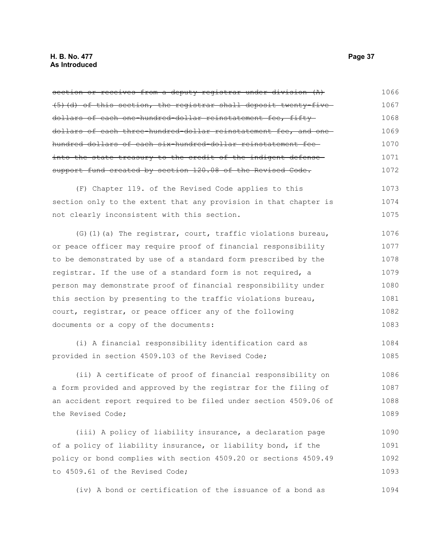#### **H. B. No. 477 Page 37 As Introduced**

section or receives from a deputy registrar under division (A) (5)(d) of this section, the registrar shall deposit twenty-five dollars of each one-hundred-dollar reinstatement fee, fifty dollars of each three-hundred-dollar reinstatement fee, and one hundred dollars of each six-hundred-dollar reinstatement fee into the state treasury to the credit of the indigent defensesupport fund created by section 120.08 of the Revised Code. (F) Chapter 119. of the Revised Code applies to this section only to the extent that any provision in that chapter is not clearly inconsistent with this section. (G)(1)(a) The registrar, court, traffic violations bureau, 1066 1067 1068 1069 1070 1071 1072 1073 1074 1075 1076

or peace officer may require proof of financial responsibility to be demonstrated by use of a standard form prescribed by the registrar. If the use of a standard form is not required, a person may demonstrate proof of financial responsibility under this section by presenting to the traffic violations bureau, court, registrar, or peace officer any of the following documents or a copy of the documents: 1077 1078 1079 1080 1081 1082 1083

(i) A financial responsibility identification card as provided in section 4509.103 of the Revised Code; 1084 1085

(ii) A certificate of proof of financial responsibility on a form provided and approved by the registrar for the filing of an accident report required to be filed under section 4509.06 of the Revised Code; 1086 1087 1088 1089

(iii) A policy of liability insurance, a declaration page of a policy of liability insurance, or liability bond, if the policy or bond complies with section 4509.20 or sections 4509.49 to 4509.61 of the Revised Code; 1090 1091 1092 1093

(iv) A bond or certification of the issuance of a bond as 1094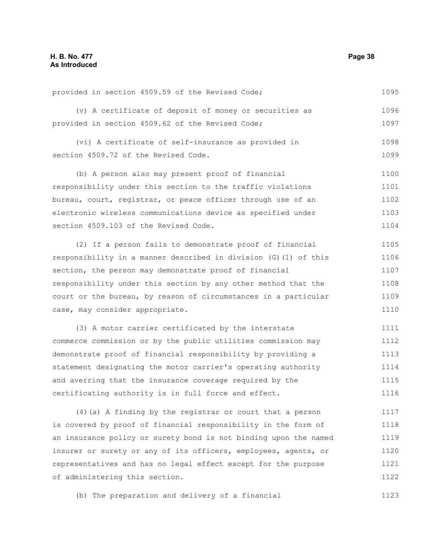(v) A certificate of deposit of money or securities as provided in section 4509.62 of the Revised Code; (vi) A certificate of self-insurance as provided in section 4509.72 of the Revised Code. (b) A person also may present proof of financial responsibility under this section to the traffic violations bureau, court, registrar, or peace officer through use of an electronic wireless communications device as specified under section 4509.103 of the Revised Code. (2) If a person fails to demonstrate proof of financial 1096 1097 1098 1099 1100 1101 1102 1103 1104 1105

provided in section 4509.59 of the Revised Code;

responsibility in a manner described in division (G)(1) of this section, the person may demonstrate proof of financial responsibility under this section by any other method that the court or the bureau, by reason of circumstances in a particular case, may consider appropriate. 1106 1107 1108 1109 1110

(3) A motor carrier certificated by the interstate commerce commission or by the public utilities commission may demonstrate proof of financial responsibility by providing a statement designating the motor carrier's operating authority and averring that the insurance coverage required by the certificating authority is in full force and effect. 1111 1112 1113 1114 1115 1116

(4)(a) A finding by the registrar or court that a person is covered by proof of financial responsibility in the form of an insurance policy or surety bond is not binding upon the named insurer or surety or any of its officers, employees, agents, or representatives and has no legal effect except for the purpose of administering this section. 1117 1118 1119 1120 1121 1122

(b) The preparation and delivery of a financial 1123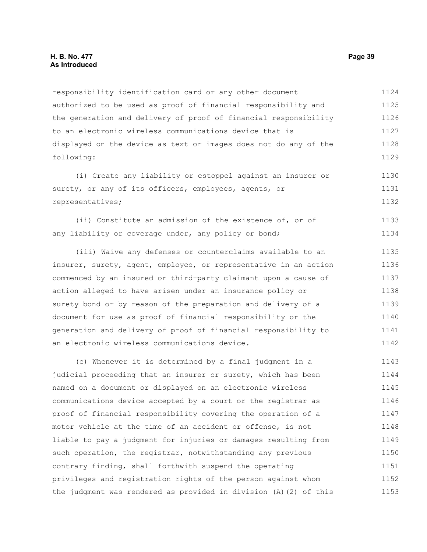### **H. B. No. 477 Page 39 As Introduced**

responsibility identification card or any other document authorized to be used as proof of financial responsibility and the generation and delivery of proof of financial responsibility to an electronic wireless communications device that is displayed on the device as text or images does not do any of the following: 1124 1125 1126 1127 1128 1129

(i) Create any liability or estoppel against an insurer or surety, or any of its officers, employees, agents, or representatives; 1130 1131 1132

(ii) Constitute an admission of the existence of, or of any liability or coverage under, any policy or bond; 1133 1134

(iii) Waive any defenses or counterclaims available to an insurer, surety, agent, employee, or representative in an action commenced by an insured or third-party claimant upon a cause of action alleged to have arisen under an insurance policy or surety bond or by reason of the preparation and delivery of a document for use as proof of financial responsibility or the generation and delivery of proof of financial responsibility to an electronic wireless communications device. 1135 1136 1137 1138 1139 1140 1141 1142

(c) Whenever it is determined by a final judgment in a judicial proceeding that an insurer or surety, which has been named on a document or displayed on an electronic wireless communications device accepted by a court or the registrar as proof of financial responsibility covering the operation of a motor vehicle at the time of an accident or offense, is not liable to pay a judgment for injuries or damages resulting from such operation, the registrar, notwithstanding any previous contrary finding, shall forthwith suspend the operating privileges and registration rights of the person against whom the judgment was rendered as provided in division (A)(2) of this 1143 1144 1145 1146 1147 1148 1149 1150 1151 1152 1153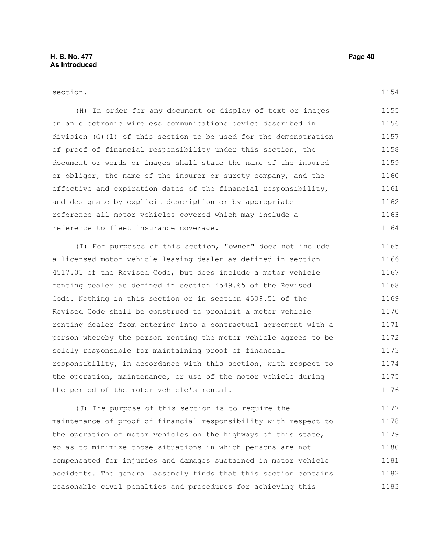section.

(H) In order for any document or display of text or images on an electronic wireless communications device described in division (G)(1) of this section to be used for the demonstration of proof of financial responsibility under this section, the document or words or images shall state the name of the insured or obligor, the name of the insurer or surety company, and the effective and expiration dates of the financial responsibility, and designate by explicit description or by appropriate reference all motor vehicles covered which may include a reference to fleet insurance coverage. 1155 1156 1157 1158 1159 1160 1161 1162 1163 1164

(I) For purposes of this section, "owner" does not include a licensed motor vehicle leasing dealer as defined in section 4517.01 of the Revised Code, but does include a motor vehicle renting dealer as defined in section 4549.65 of the Revised Code. Nothing in this section or in section 4509.51 of the Revised Code shall be construed to prohibit a motor vehicle renting dealer from entering into a contractual agreement with a person whereby the person renting the motor vehicle agrees to be solely responsible for maintaining proof of financial responsibility, in accordance with this section, with respect to the operation, maintenance, or use of the motor vehicle during the period of the motor vehicle's rental. 1165 1166 1167 1168 1169 1170 1171 1172 1173 1174 1175 1176

(J) The purpose of this section is to require the maintenance of proof of financial responsibility with respect to the operation of motor vehicles on the highways of this state, so as to minimize those situations in which persons are not compensated for injuries and damages sustained in motor vehicle accidents. The general assembly finds that this section contains reasonable civil penalties and procedures for achieving this 1177 1178 1179 1180 1181 1182 1183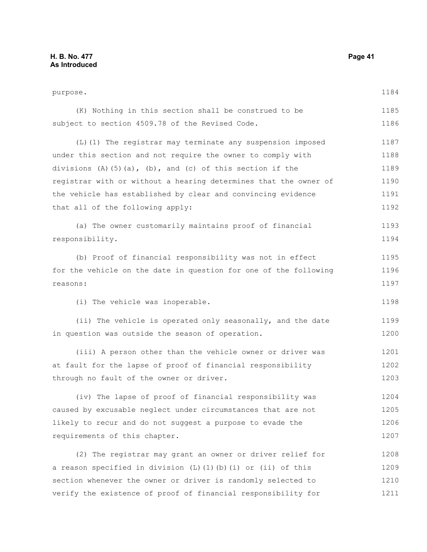| purpose.                                                         | 1184 |
|------------------------------------------------------------------|------|
| (K) Nothing in this section shall be construed to be             | 1185 |
| subject to section 4509.78 of the Revised Code.                  | 1186 |
| (L)(1) The registrar may terminate any suspension imposed        | 1187 |
| under this section and not require the owner to comply with      | 1188 |
| divisions (A)(5)(a), (b), and (c) of this section if the         | 1189 |
| registrar with or without a hearing determines that the owner of | 1190 |
| the vehicle has established by clear and convincing evidence     | 1191 |
| that all of the following apply:                                 | 1192 |
| (a) The owner customarily maintains proof of financial           | 1193 |
| responsibility.                                                  | 1194 |
| (b) Proof of financial responsibility was not in effect          | 1195 |
| for the vehicle on the date in question for one of the following | 1196 |
| reasons:                                                         | 1197 |
| (i) The vehicle was inoperable.                                  | 1198 |
| (ii) The vehicle is operated only seasonally, and the date       | 1199 |
| in question was outside the season of operation.                 | 1200 |
| (iii) A person other than the vehicle owner or driver was        | 1201 |
| at fault for the lapse of proof of financial responsibility      | 1202 |
| through no fault of the owner or driver.                         | 1203 |
| (iv) The lapse of proof of financial responsibility was          | 1204 |
| caused by excusable neglect under circumstances that are not     | 1205 |
| likely to recur and do not suggest a purpose to evade the        | 1206 |
| requirements of this chapter.                                    | 1207 |
| (2) The registrar may grant an owner or driver relief for        | 1208 |
|                                                                  |      |
| a reason specified in division (L)(1)(b)(i) or (ii) of this      | 1209 |
| section whenever the owner or driver is randomly selected to     | 1210 |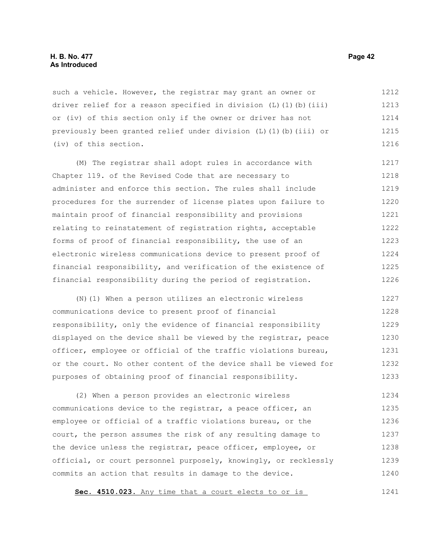such a vehicle. However, the registrar may grant an owner or driver relief for a reason specified in division  $(L)$   $(L)$   $(b)$   $(iii)$ or (iv) of this section only if the owner or driver has not previously been granted relief under division (L)(1)(b)(iii) or (iv) of this section. 1212 1213 1214 1215 1216

(M) The registrar shall adopt rules in accordance with Chapter 119. of the Revised Code that are necessary to administer and enforce this section. The rules shall include procedures for the surrender of license plates upon failure to maintain proof of financial responsibility and provisions relating to reinstatement of registration rights, acceptable forms of proof of financial responsibility, the use of an electronic wireless communications device to present proof of financial responsibility, and verification of the existence of financial responsibility during the period of registration. 1217 1218 1219 1220 1221 1222 1223 1224 1225 1226

(N)(1) When a person utilizes an electronic wireless communications device to present proof of financial responsibility, only the evidence of financial responsibility displayed on the device shall be viewed by the registrar, peace officer, employee or official of the traffic violations bureau, or the court. No other content of the device shall be viewed for purposes of obtaining proof of financial responsibility. 1227 1228 1229 1230 1231 1232 1233

(2) When a person provides an electronic wireless communications device to the registrar, a peace officer, an employee or official of a traffic violations bureau, or the court, the person assumes the risk of any resulting damage to the device unless the registrar, peace officer, employee, or official, or court personnel purposely, knowingly, or recklessly commits an action that results in damage to the device. 1234 1235 1236 1237 1238 1239 1240

 **Sec. 4510.023.** Any time that a court elects to or is 1241